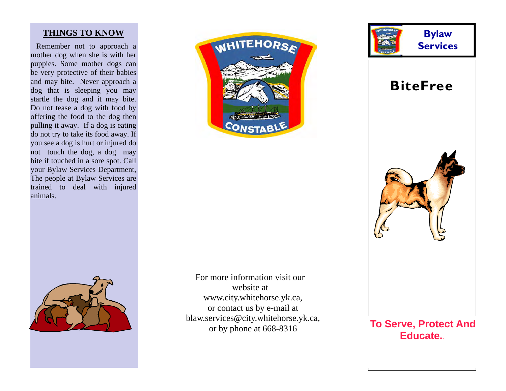#### **THINGS TO KNOW**

 Remember not to approach a mother dog when she is with her puppies. Some mother dogs can be very protective of their babies and may bite. Never approach a dog that is sleeping you may startle the dog and it may bite. Do not tease a dog with food by offering the food to the dog then pulling it away. If a dog is eating do not try to take its food away. If you see a dog is hurt or injured do not touch the dog, a dog may bite if touched in a sore spot. Call your Bylaw Services Department, The people at Bylaw Services are trained to deal with injured animals.





For more information visit our website at www.city.whitehorse.yk.ca, or contact us by e-mail at blaw.services@city.whitehorse.yk.ca, or by phone at 668-8316